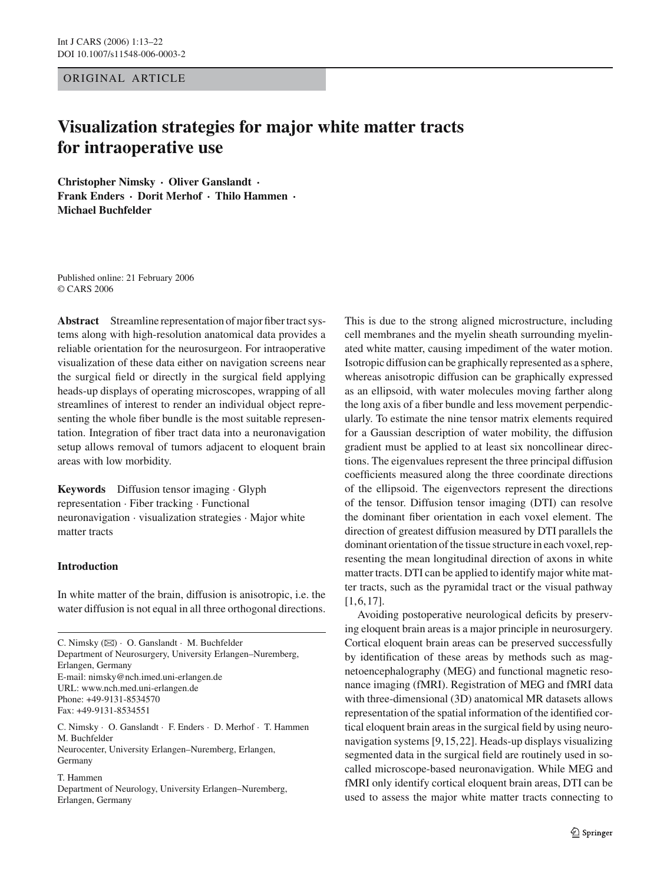ORIGINAL ARTICLE

# **Visualization strategies for major white matter tracts for intraoperative use**

**Christopher Nimsky · Oliver Ganslandt · Frank Enders · Dorit Merhof · Thilo Hammen · Michael Buchfelder**

Published online: 21 February 2006 © CARS 2006

**Abstract** Streamline representation of major fiber tract systems along with high-resolution anatomical data provides a reliable orientation for the neurosurgeon. For intraoperative visualization of these data either on navigation screens near the surgical field or directly in the surgical field applying heads-up displays of operating microscopes, wrapping of all streamlines of interest to render an individual object representing the whole fiber bundle is the most suitable representation. Integration of fiber tract data into a neuronavigation setup allows removal of tumors adjacent to eloquent brain areas with low morbidity.

**Keywords** Diffusion tensor imaging · Glyph representation · Fiber tracking · Functional neuronavigation · visualization strategies · Major white matter tracts

# **Introduction**

In white matter of the brain, diffusion is anisotropic, i.e. the water diffusion is not equal in all three orthogonal directions.

C. Nimsky (B) · O. Ganslandt · M. Buchfelder Department of Neurosurgery, University Erlangen–Nuremberg, Erlangen, Germany E-mail: nimsky@nch.imed.uni-erlangen.de URL: www.nch.med.uni-erlangen.de Phone: +49-9131-8534570 Fax: +49-9131-8534551 C. Nimsky · O. Ganslandt · F. Enders · D. Merhof · T. Hammen

M. Buchfelder Neurocenter, University Erlangen–Nuremberg, Erlangen, Germany

T. Hammen Department of Neurology, University Erlangen–Nuremberg, Erlangen, Germany

This is due to the strong aligned microstructure, including cell membranes and the myelin sheath surrounding myelinated white matter, causing impediment of the water motion. Isotropic diffusion can be graphically represented as a sphere, whereas anisotropic diffusion can be graphically expressed as an ellipsoid, with water molecules moving farther along the long axis of a fiber bundle and less movement perpendicularly. To estimate the nine tensor matrix elements required for a Gaussian description of water mobility, the diffusion gradient must be applied to at least six noncollinear directions. The eigenvalues represent the three principal diffusion coefficients measured along the three coordinate directions of the ellipsoid. The eigenvectors represent the directions of the tensor. Diffusion tensor imaging (DTI) can resolve the dominant fiber orientation in each voxel element. The direction of greatest diffusion measured by DTI parallels the dominant orientation of the tissue structure in each voxel, representing the mean longitudinal direction of axons in white matter tracts. DTI can be applied to identify major white matter tracts, such as the pyramidal tract or the visual pathway [1,6,17].

Avoiding postoperative neurological deficits by preserving eloquent brain areas is a major principle in neurosurgery. Cortical eloquent brain areas can be preserved successfully by identification of these areas by methods such as magnetoencephalography (MEG) and functional magnetic resonance imaging (fMRI). Registration of MEG and fMRI data with three-dimensional (3D) anatomical MR datasets allows representation of the spatial information of the identified cortical eloquent brain areas in the surgical field by using neuronavigation systems [9,15,22]. Heads-up displays visualizing segmented data in the surgical field are routinely used in socalled microscope-based neuronavigation. While MEG and fMRI only identify cortical eloquent brain areas, DTI can be used to assess the major white matter tracts connecting to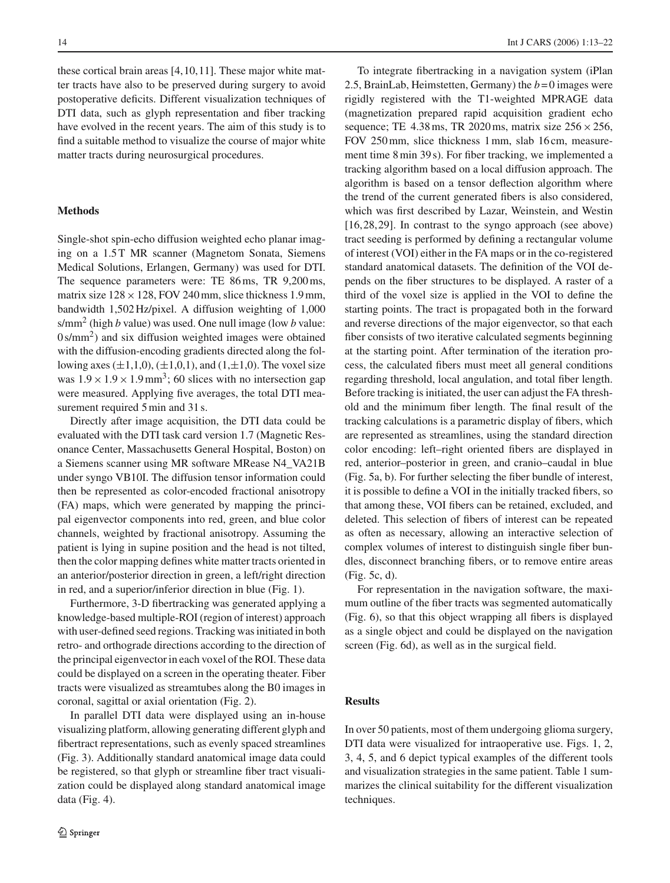these cortical brain areas [4,10,11]. These major white matter tracts have also to be preserved during surgery to avoid postoperative deficits. Different visualization techniques of DTI data, such as glyph representation and fiber tracking have evolved in the recent years. The aim of this study is to find a suitable method to visualize the course of major white matter tracts during neurosurgical procedures.

#### **Methods**

Single-shot spin-echo diffusion weighted echo planar imaging on a 1.5T MR scanner (Magnetom Sonata, Siemens Medical Solutions, Erlangen, Germany) was used for DTI. The sequence parameters were: TE 86 ms, TR 9,200 ms, matrix size  $128 \times 128$ , FOV 240 mm, slice thickness 1.9 mm, bandwidth 1,502 Hz/pixel. A diffusion weighting of 1,000 s/mm<sup>2</sup> (high *b* value) was used. One null image (low *b* value:  $0 \text{ s/mm}^2$ ) and six diffusion weighted images were obtained with the diffusion-encoding gradients directed along the following axes  $(\pm 1,1,0)$ ,  $(\pm 1,0,1)$ , and  $(1,\pm 1,0)$ . The voxel size was  $1.9 \times 1.9 \times 1.9$  mm<sup>3</sup>; 60 slices with no intersection gap were measured. Applying five averages, the total DTI measurement required 5 min and 31 s.

Directly after image acquisition, the DTI data could be evaluated with the DTI task card version 1.7 (Magnetic Resonance Center, Massachusetts General Hospital, Boston) on a Siemens scanner using MR software MRease N4\_VA21B under syngo VB10I. The diffusion tensor information could then be represented as color-encoded fractional anisotropy (FA) maps, which were generated by mapping the principal eigenvector components into red, green, and blue color channels, weighted by fractional anisotropy. Assuming the patient is lying in supine position and the head is not tilted, then the color mapping defines white matter tracts oriented in an anterior/posterior direction in green, a left/right direction in red, and a superior/inferior direction in blue (Fig. 1).

Furthermore, 3-D fibertracking was generated applying a knowledge-based multiple-ROI (region of interest) approach with user-defined seed regions. Tracking was initiated in both retro- and orthograde directions according to the direction of the principal eigenvector in each voxel of the ROI. These data could be displayed on a screen in the operating theater. Fiber tracts were visualized as streamtubes along the B0 images in coronal, sagittal or axial orientation (Fig. 2).

In parallel DTI data were displayed using an in-house visualizing platform, allowing generating different glyph and fibertract representations, such as evenly spaced streamlines (Fig. 3). Additionally standard anatomical image data could be registered, so that glyph or streamline fiber tract visualization could be displayed along standard anatomical image data (Fig. 4).

To integrate fibertracking in a navigation system (iPlan 2.5, BrainLab, Heimstetten, Germany) the  $b = 0$  images were rigidly registered with the T1-weighted MPRAGE data (magnetization prepared rapid acquisition gradient echo sequence; TE 4.38 ms, TR 2020 ms, matrix size  $256 \times 256$ , FOV 250 mm, slice thickness 1 mm, slab 16 cm, measurement time 8 min 39 s). For fiber tracking, we implemented a tracking algorithm based on a local diffusion approach. The algorithm is based on a tensor deflection algorithm where the trend of the current generated fibers is also considered, which was first described by Lazar, Weinstein, and Westin [16,28,29]. In contrast to the syngo approach (see above) tract seeding is performed by defining a rectangular volume of interest (VOI) either in the FA maps or in the co-registered standard anatomical datasets. The definition of the VOI depends on the fiber structures to be displayed. A raster of a third of the voxel size is applied in the VOI to define the starting points. The tract is propagated both in the forward and reverse directions of the major eigenvector, so that each fiber consists of two iterative calculated segments beginning at the starting point. After termination of the iteration process, the calculated fibers must meet all general conditions regarding threshold, local angulation, and total fiber length. Before tracking is initiated, the user can adjust the FA threshold and the minimum fiber length. The final result of the tracking calculations is a parametric display of fibers, which are represented as streamlines, using the standard direction color encoding: left–right oriented fibers are displayed in red, anterior–posterior in green, and cranio–caudal in blue (Fig. 5a, b). For further selecting the fiber bundle of interest, it is possible to define a VOI in the initially tracked fibers, so that among these, VOI fibers can be retained, excluded, and deleted. This selection of fibers of interest can be repeated as often as necessary, allowing an interactive selection of complex volumes of interest to distinguish single fiber bundles, disconnect branching fibers, or to remove entire areas (Fig. 5c, d).

For representation in the navigation software, the maximum outline of the fiber tracts was segmented automatically (Fig. 6), so that this object wrapping all fibers is displayed as a single object and could be displayed on the navigation screen (Fig. 6d), as well as in the surgical field.

# **Results**

In over 50 patients, most of them undergoing glioma surgery, DTI data were visualized for intraoperative use. Figs. 1, 2, 3, 4, 5, and 6 depict typical examples of the different tools and visualization strategies in the same patient. Table 1 summarizes the clinical suitability for the different visualization techniques.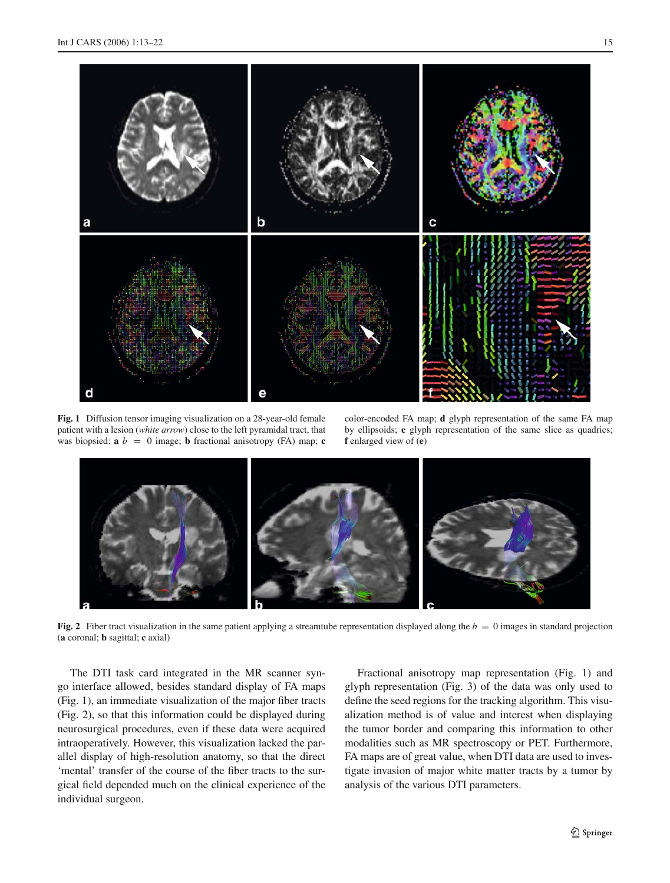

**Fig. 1** Diffusion tensor imaging visualization on a 28-year-old female patient with a lesion (*white arrow*) close to the left pyramidal tract, that was biopsied:  $\mathbf{a} \, b = 0$  image; **b** fractional anisotropy (FA) map; **c** 

color-encoded FA map; **d** glyph representation of the same FA map by ellipsoids; **e** glyph representation of the same slice as quadrics; **f** enlarged view of (**e**)



**Fig. 2** Fiber tract visualization in the same patient applying a streamtube representation displayed along the  $b = 0$  images in standard projection (**a** coronal; **b** sagittal; **c** axial)

The DTI task card integrated in the MR scanner syngo interface allowed, besides standard display of FA maps (Fig. 1), an immediate visualization of the major fiber tracts (Fig. 2), so that this information could be displayed during neurosurgical procedures, even if these data were acquired intraoperatively. However, this visualization lacked the parallel display of high-resolution anatomy, so that the direct 'mental' transfer of the course of the fiber tracts to the surgical field depended much on the clinical experience of the individual surgeon.

Fractional anisotropy map representation (Fig. 1) and glyph representation (Fig. 3) of the data was only used to define the seed regions for the tracking algorithm. This visualization method is of value and interest when displaying the tumor border and comparing this information to other modalities such as MR spectroscopy or PET. Furthermore, FA maps are of great value, when DTI data are used to investigate invasion of major white matter tracts by a tumor by analysis of the various DTI parameters.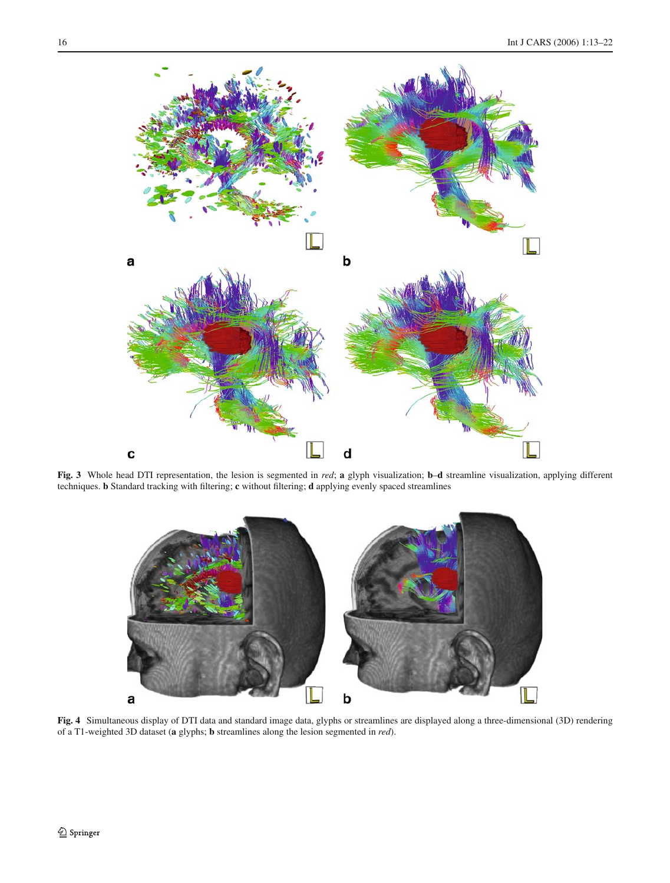

**Fig. 3** Whole head DTI representation, the lesion is segmented in *red*; **a** glyph visualization; **b**–**d** streamline visualization, applying different techniques. **b** Standard tracking with filtering; **c** without filtering; **d** applying evenly spaced streamlines



**Fig. 4** Simultaneous display of DTI data and standard image data, glyphs or streamlines are displayed along a three-dimensional (3D) rendering of a T1-weighted 3D dataset (**a** glyphs; **b** streamlines along the lesion segmented in *red*).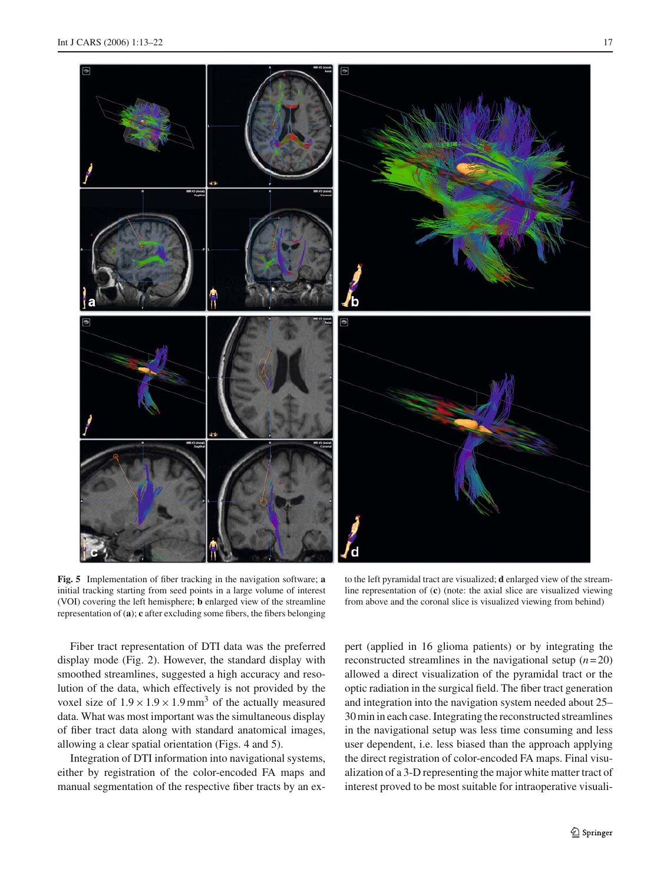

**Fig. 5** Implementation of fiber tracking in the navigation software; **a** initial tracking starting from seed points in a large volume of interest (VOI) covering the left hemisphere; **b** enlarged view of the streamline representation of (**a**); **c** after excluding some fibers, the fibers belonging

to the left pyramidal tract are visualized; **d** enlarged view of the streamline representation of (**c**) (note: the axial slice are visualized viewing from above and the coronal slice is visualized viewing from behind)

Fiber tract representation of DTI data was the preferred display mode (Fig. 2). However, the standard display with smoothed streamlines, suggested a high accuracy and resolution of the data, which effectively is not provided by the voxel size of  $1.9 \times 1.9 \times 1.9$  mm<sup>3</sup> of the actually measured data. What was most important was the simultaneous display of fiber tract data along with standard anatomical images, allowing a clear spatial orientation (Figs. 4 and 5).

Integration of DTI information into navigational systems, either by registration of the color-encoded FA maps and manual segmentation of the respective fiber tracts by an expert (applied in 16 glioma patients) or by integrating the reconstructed streamlines in the navigational setup  $(n=20)$ allowed a direct visualization of the pyramidal tract or the optic radiation in the surgical field. The fiber tract generation and integration into the navigation system needed about 25– 30 min in each case. Integrating the reconstructed streamlines in the navigational setup was less time consuming and less user dependent, i.e. less biased than the approach applying the direct registration of color-encoded FA maps. Final visualization of a 3-D representing the major white matter tract of interest proved to be most suitable for intraoperative visuali-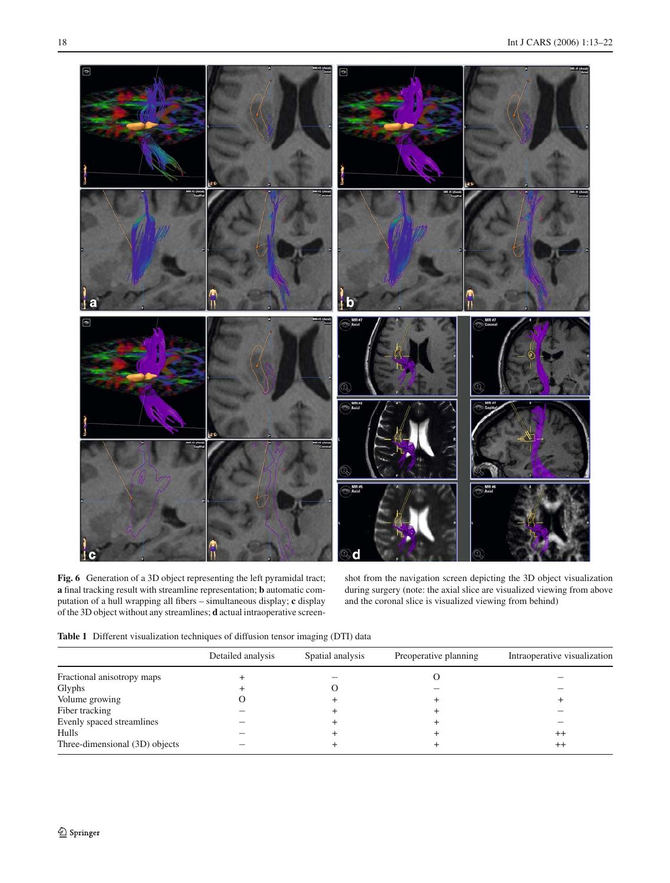

Fig. 6 Generation of a 3D object representing the left pyramidal tract; **a** final tracking result with streamline representation; **b** automatic computation of a hull wrapping all fibers – simultaneous display; **c** display of the 3D object without any streamlines; **d** actual intraoperative screenshot from the navigation screen depicting the 3D object visualization during surgery (note: the axial slice are visualized viewing from above and the coronal slice is visualized viewing from behind)

**Table 1** Different visualization techniques of diffusion tensor imaging (DTI) data

|                                | Detailed analysis | Spatial analysis | Preoperative planning | Intraoperative visualization |
|--------------------------------|-------------------|------------------|-----------------------|------------------------------|
| Fractional anisotropy maps     |                   |                  |                       |                              |
| Glyphs                         |                   |                  |                       |                              |
| Volume growing                 |                   |                  |                       |                              |
| Fiber tracking                 |                   |                  |                       |                              |
| Evenly spaced streamlines      |                   |                  |                       |                              |
| <b>Hulls</b>                   |                   |                  |                       | $^{++}$                      |
| Three-dimensional (3D) objects |                   |                  |                       | $^{++}$                      |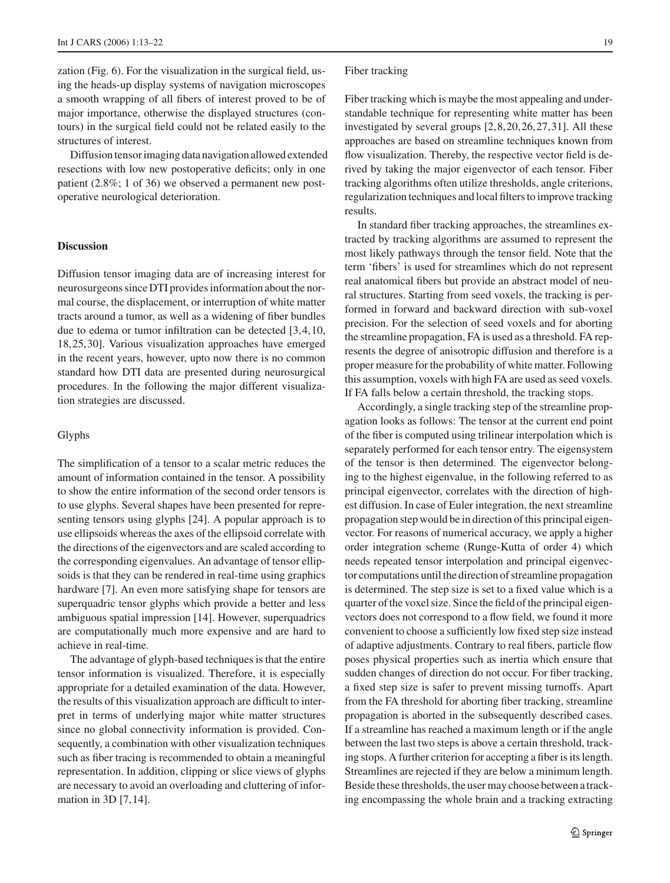zation (Fig. 6). For the visualization in the surgical field, using the heads-up display systems of navigation microscopes a smooth wrapping of all fibers of interest proved to be of major importance, otherwise the displayed structures (contours) in the surgical field could not be related easily to the structures of interest.

Diffusion tensor imaging data navigation allowed extended resections with low new postoperative deficits; only in one patient (2.8%; 1 of 36) we observed a permanent new postoperative neurological deterioration.

## **Discussion**

Diffusion tensor imaging data are of increasing interest for neurosurgeons since DTI provides information about the normal course, the displacement, or interruption of white matter tracts around a tumor, as well as a widening of fiber bundles due to edema or tumor infiltration can be detected [3,4,10, 18,25,30]. Various visualization approaches have emerged in the recent years, however, upto now there is no common standard how DTI data are presented during neurosurgical procedures. In the following the major different visualization strategies are discussed.

#### Glyphs

The simplification of a tensor to a scalar metric reduces the amount of information contained in the tensor. A possibility to show the entire information of the second order tensors is to use glyphs. Several shapes have been presented for representing tensors using glyphs [24]. A popular approach is to use ellipsoids whereas the axes of the ellipsoid correlate with the directions of the eigenvectors and are scaled according to the corresponding eigenvalues. An advantage of tensor ellipsoids is that they can be rendered in real-time using graphics hardware [7]. An even more satisfying shape for tensors are superquadric tensor glyphs which provide a better and less ambiguous spatial impression [14]. However, superquadrics are computationally much more expensive and are hard to achieve in real-time.

The advantage of glyph-based techniques is that the entire tensor information is visualized. Therefore, it is especially appropriate for a detailed examination of the data. However, the results of this visualization approach are difficult to interpret in terms of underlying major white matter structures since no global connectivity information is provided. Consequently, a combination with other visualization techniques such as fiber tracing is recommended to obtain a meaningful representation. In addition, clipping or slice views of glyphs are necessary to avoid an overloading and cluttering of information in 3D [7,14].

#### Fiber tracking

Fiber tracking which is maybe the most appealing and understandable technique for representing white matter has been investigated by several groups [2,8,20,26,27,31]. All these approaches are based on streamline techniques known from flow visualization. Thereby, the respective vector field is derived by taking the major eigenvector of each tensor. Fiber tracking algorithms often utilize thresholds, angle criterions, regularization techniques and local filters to improve tracking results.

In standard fiber tracking approaches, the streamlines extracted by tracking algorithms are assumed to represent the most likely pathways through the tensor field. Note that the term 'fibers' is used for streamlines which do not represent real anatomical fibers but provide an abstract model of neural structures. Starting from seed voxels, the tracking is performed in forward and backward direction with sub-voxel precision. For the selection of seed voxels and for aborting the streamline propagation, FA is used as a threshold. FA represents the degree of anisotropic diffusion and therefore is a proper measure for the probability of white matter. Following this assumption, voxels with high FA are used as seed voxels. If FA falls below a certain threshold, the tracking stops.

Accordingly, a single tracking step of the streamline propagation looks as follows: The tensor at the current end point of the fiber is computed using trilinear interpolation which is separately performed for each tensor entry. The eigensystem of the tensor is then determined. The eigenvector belonging to the highest eigenvalue, in the following referred to as principal eigenvector, correlates with the direction of highest diffusion. In case of Euler integration, the next streamline propagation step would be in direction of this principal eigenvector. For reasons of numerical accuracy, we apply a higher order integration scheme (Runge-Kutta of order 4) which needs repeated tensor interpolation and principal eigenvector computations until the direction of streamline propagation is determined. The step size is set to a fixed value which is a quarter of the voxel size. Since the field of the principal eigenvectors does not correspond to a flow field, we found it more convenient to choose a sufficiently low fixed step size instead of adaptive adjustments. Contrary to real fibers, particle flow poses physical properties such as inertia which ensure that sudden changes of direction do not occur. For fiber tracking, a fixed step size is safer to prevent missing turnoffs. Apart from the FA threshold for aborting fiber tracking, streamline propagation is aborted in the subsequently described cases. If a streamline has reached a maximum length or if the angle between the last two steps is above a certain threshold, tracking stops. A further criterion for accepting a fiber is its length. Streamlines are rejected if they are below a minimum length. Beside these thresholds, the user may choose between a tracking encompassing the whole brain and a tracking extracting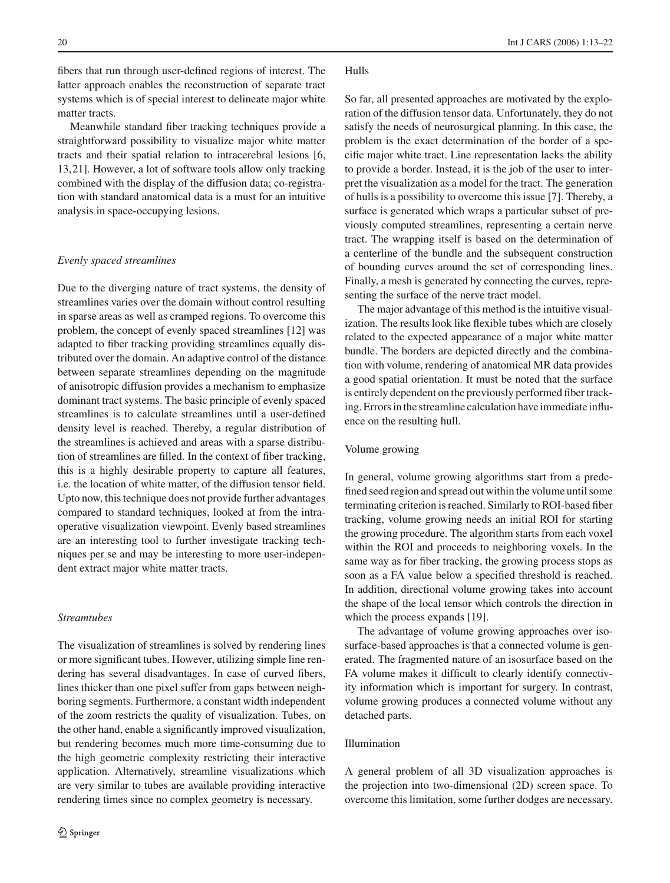fibers that run through user-defined regions of interest. The latter approach enables the reconstruction of separate tract systems which is of special interest to delineate major white matter tracts.

Meanwhile standard fiber tracking techniques provide a straightforward possibility to visualize major white matter tracts and their spatial relation to intracerebral lesions [6, 13,21]. However, a lot of software tools allow only tracking combined with the display of the diffusion data; co-registration with standard anatomical data is a must for an intuitive analysis in space-occupying lesions.

#### *Evenly spaced streamlines*

Due to the diverging nature of tract systems, the density of streamlines varies over the domain without control resulting in sparse areas as well as cramped regions. To overcome this problem, the concept of evenly spaced streamlines [12] was adapted to fiber tracking providing streamlines equally distributed over the domain. An adaptive control of the distance between separate streamlines depending on the magnitude of anisotropic diffusion provides a mechanism to emphasize dominant tract systems. The basic principle of evenly spaced streamlines is to calculate streamlines until a user-defined density level is reached. Thereby, a regular distribution of the streamlines is achieved and areas with a sparse distribution of streamlines are filled. In the context of fiber tracking, this is a highly desirable property to capture all features, i.e. the location of white matter, of the diffusion tensor field. Upto now, this technique does not provide further advantages compared to standard techniques, looked at from the intraoperative visualization viewpoint. Evenly based streamlines are an interesting tool to further investigate tracking techniques per se and may be interesting to more user-independent extract major white matter tracts.

# *Streamtubes*

The visualization of streamlines is solved by rendering lines or more significant tubes. However, utilizing simple line rendering has several disadvantages. In case of curved fibers, lines thicker than one pixel suffer from gaps between neighboring segments. Furthermore, a constant width independent of the zoom restricts the quality of visualization. Tubes, on the other hand, enable a significantly improved visualization, but rendering becomes much more time-consuming due to the high geometric complexity restricting their interactive application. Alternatively, streamline visualizations which are very similar to tubes are available providing interactive rendering times since no complex geometry is necessary.

# Hulls

So far, all presented approaches are motivated by the exploration of the diffusion tensor data. Unfortunately, they do not satisfy the needs of neurosurgical planning. In this case, the problem is the exact determination of the border of a specific major white tract. Line representation lacks the ability to provide a border. Instead, it is the job of the user to interpret the visualization as a model for the tract. The generation of hulls is a possibility to overcome this issue [7]. Thereby, a surface is generated which wraps a particular subset of previously computed streamlines, representing a certain nerve tract. The wrapping itself is based on the determination of a centerline of the bundle and the subsequent construction of bounding curves around the set of corresponding lines. Finally, a mesh is generated by connecting the curves, representing the surface of the nerve tract model.

The major advantage of this method is the intuitive visualization. The results look like flexible tubes which are closely related to the expected appearance of a major white matter bundle. The borders are depicted directly and the combination with volume, rendering of anatomical MR data provides a good spatial orientation. It must be noted that the surface is entirely dependent on the previously performed fiber tracking. Errors in the streamline calculation have immediate influence on the resulting hull.

## Volume growing

In general, volume growing algorithms start from a predefined seed region and spread out within the volume until some terminating criterion is reached. Similarly to ROI-based fiber tracking, volume growing needs an initial ROI for starting the growing procedure. The algorithm starts from each voxel within the ROI and proceeds to neighboring voxels. In the same way as for fiber tracking, the growing process stops as soon as a FA value below a specified threshold is reached. In addition, directional volume growing takes into account the shape of the local tensor which controls the direction in which the process expands [19].

The advantage of volume growing approaches over isosurface-based approaches is that a connected volume is generated. The fragmented nature of an isosurface based on the FA volume makes it difficult to clearly identify connectivity information which is important for surgery. In contrast, volume growing produces a connected volume without any detached parts.

# Illumination

A general problem of all 3D visualization approaches is the projection into two-dimensional (2D) screen space. To overcome this limitation, some further dodges are necessary.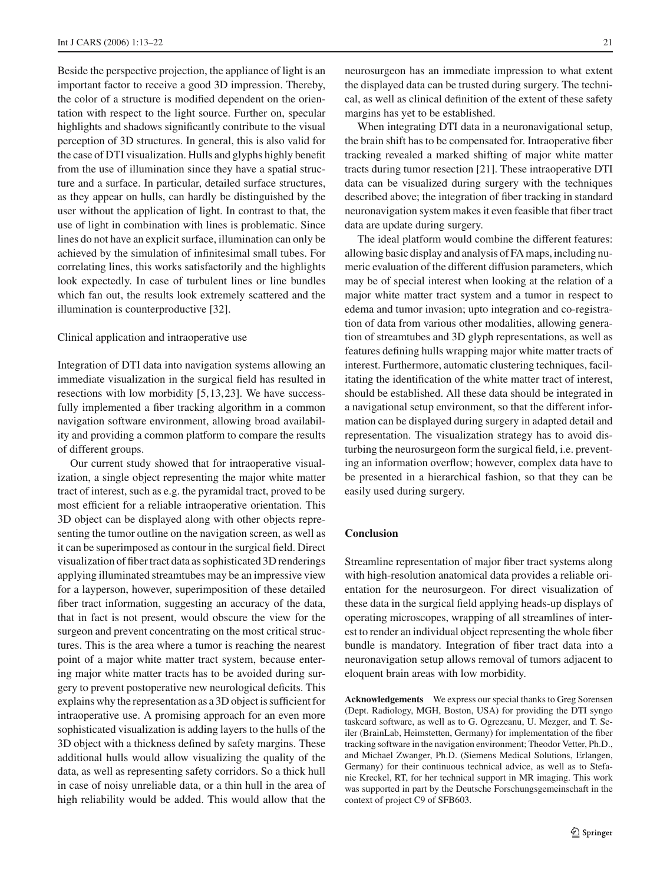Beside the perspective projection, the appliance of light is an important factor to receive a good 3D impression. Thereby, the color of a structure is modified dependent on the orientation with respect to the light source. Further on, specular highlights and shadows significantly contribute to the visual perception of 3D structures. In general, this is also valid for the case of DTI visualization. Hulls and glyphs highly benefit from the use of illumination since they have a spatial structure and a surface. In particular, detailed surface structures, as they appear on hulls, can hardly be distinguished by the user without the application of light. In contrast to that, the use of light in combination with lines is problematic. Since lines do not have an explicit surface, illumination can only be achieved by the simulation of infinitesimal small tubes. For correlating lines, this works satisfactorily and the highlights look expectedly. In case of turbulent lines or line bundles which fan out, the results look extremely scattered and the illumination is counterproductive [32].

### Clinical application and intraoperative use

Integration of DTI data into navigation systems allowing an immediate visualization in the surgical field has resulted in resections with low morbidity [5,13,23]. We have successfully implemented a fiber tracking algorithm in a common navigation software environment, allowing broad availability and providing a common platform to compare the results of different groups.

Our current study showed that for intraoperative visualization, a single object representing the major white matter tract of interest, such as e.g. the pyramidal tract, proved to be most efficient for a reliable intraoperative orientation. This 3D object can be displayed along with other objects representing the tumor outline on the navigation screen, as well as it can be superimposed as contour in the surgical field. Direct visualization of fiber tract data as sophisticated 3D renderings applying illuminated streamtubes may be an impressive view for a layperson, however, superimposition of these detailed fiber tract information, suggesting an accuracy of the data, that in fact is not present, would obscure the view for the surgeon and prevent concentrating on the most critical structures. This is the area where a tumor is reaching the nearest point of a major white matter tract system, because entering major white matter tracts has to be avoided during surgery to prevent postoperative new neurological deficits. This explains why the representation as a 3D object is sufficient for intraoperative use. A promising approach for an even more sophisticated visualization is adding layers to the hulls of the 3D object with a thickness defined by safety margins. These additional hulls would allow visualizing the quality of the data, as well as representing safety corridors. So a thick hull in case of noisy unreliable data, or a thin hull in the area of high reliability would be added. This would allow that the neurosurgeon has an immediate impression to what extent the displayed data can be trusted during surgery. The technical, as well as clinical definition of the extent of these safety margins has yet to be established.

When integrating DTI data in a neuronavigational setup, the brain shift has to be compensated for. Intraoperative fiber tracking revealed a marked shifting of major white matter tracts during tumor resection [21]. These intraoperative DTI data can be visualized during surgery with the techniques described above; the integration of fiber tracking in standard neuronavigation system makes it even feasible that fiber tract data are update during surgery.

The ideal platform would combine the different features: allowing basic display and analysis of FA maps, including numeric evaluation of the different diffusion parameters, which may be of special interest when looking at the relation of a major white matter tract system and a tumor in respect to edema and tumor invasion; upto integration and co-registration of data from various other modalities, allowing generation of streamtubes and 3D glyph representations, as well as features defining hulls wrapping major white matter tracts of interest. Furthermore, automatic clustering techniques, facilitating the identification of the white matter tract of interest, should be established. All these data should be integrated in a navigational setup environment, so that the different information can be displayed during surgery in adapted detail and representation. The visualization strategy has to avoid disturbing the neurosurgeon form the surgical field, i.e. preventing an information overflow; however, complex data have to be presented in a hierarchical fashion, so that they can be easily used during surgery.

# **Conclusion**

Streamline representation of major fiber tract systems along with high-resolution anatomical data provides a reliable orientation for the neurosurgeon. For direct visualization of these data in the surgical field applying heads-up displays of operating microscopes, wrapping of all streamlines of interest to render an individual object representing the whole fiber bundle is mandatory. Integration of fiber tract data into a neuronavigation setup allows removal of tumors adjacent to eloquent brain areas with low morbidity.

**Acknowledgements** We express our special thanks to Greg Sorensen (Dept. Radiology, MGH, Boston, USA) for providing the DTI syngo taskcard software, as well as to G. Ogrezeanu, U. Mezger, and T. Seiler (BrainLab, Heimstetten, Germany) for implementation of the fiber tracking software in the navigation environment; Theodor Vetter, Ph.D., and Michael Zwanger, Ph.D. (Siemens Medical Solutions, Erlangen, Germany) for their continuous technical advice, as well as to Stefanie Kreckel, RT, for her technical support in MR imaging. This work was supported in part by the Deutsche Forschungsgemeinschaft in the context of project C9 of SFB603.